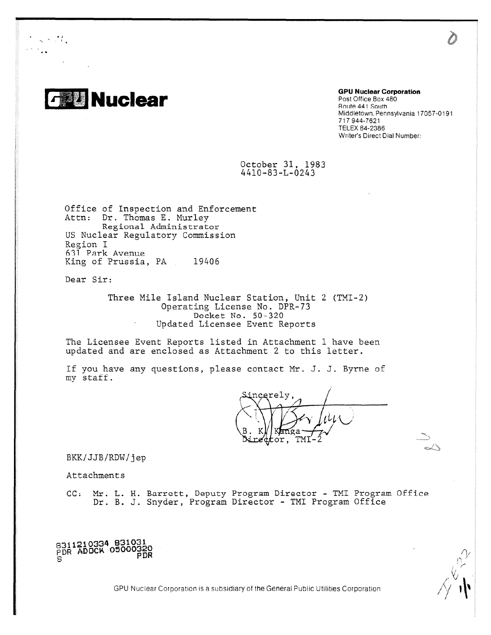

 $\omega_{\rm{eff}}=0.01$  .

## Post Office Box 480 Route 441 South Middletown, Pennsylvania 17057 -0191 717 944-7621 TELEX 84-2386 Writer's Direct Dial Number:

October 31, 1983 4410-83-L-0243

Office of Inspection and Enforcement Attn: Dr. Thomas E. Murley Regional Administrator US Nuclear Regulatory Commission Region I 611 Park Avenue King of Prussia, PA 19406

Dear Sir:

Three Mile Island Nuclear Station, Unit 2 (TMI-2) Operating License No. DPR-73 Docket No. 50 - 320 Updated Licensee Event Reports

The Licensee Event Reports listed in Attachment I have been updated and are enclosed as Attachment 2 to this letter.

If you have any questions, please contact Mr. J. J. Byrne of my staff.

ncerely re¢tor, TMI

BKK/JJB/RDW/jep

Attachments

CC: Mr. L. H. Barrett, Deputy Program Director - TMI Program Office Dr. B. J. Snyder, Program Director - TMI Program Office

**8311210334 831031 PDR ADOCK 05000320 PDR**

GPU Nuclear Corporation is a subsidiary of the General Public Utilities Corporation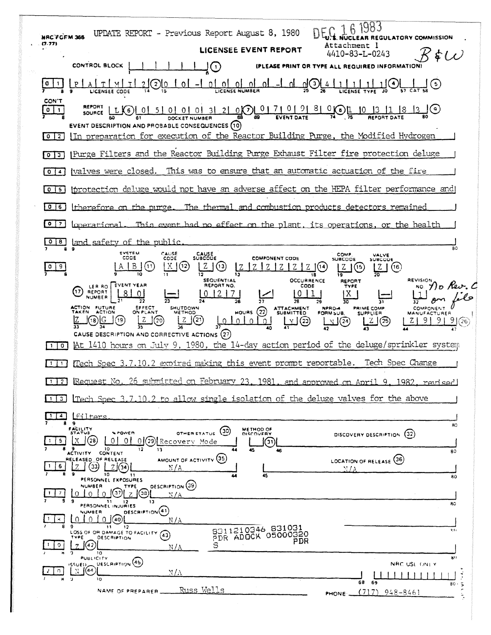| <b>NRC FORM 365</b><br>(7.77)                                          | UPDATE REPORT - Previous Report August 8, 1980<br><b>EGULATORY COMMISSION</b>                                                                                                                                                                                                                                                                                           |
|------------------------------------------------------------------------|-------------------------------------------------------------------------------------------------------------------------------------------------------------------------------------------------------------------------------------------------------------------------------------------------------------------------------------------------------------------------|
|                                                                        | Attachment l<br>LICENSEE EVENT REPORT<br>4410-83-L-0243                                                                                                                                                                                                                                                                                                                 |
|                                                                        | <b>CONTROL BLOCK</b><br>IPLEASE PRINT OR TY<br><b>REQUIRED INFORMATION</b><br>$\mathbf{1}$                                                                                                                                                                                                                                                                              |
|                                                                        | 5)<br>LICENSEE CODE                                                                                                                                                                                                                                                                                                                                                     |
| CON'T<br>$\mathbf 0$<br>$\mathbf{1}$<br>$\overline{2}$<br>$\mathbf{0}$ | <b>REPORT</b><br>0.01710198001<br>$\mathsf{I}(\mathsf{s})$<br>3 2 <br>10 <sup>°</sup><br>-51<br>-01<br>K 6 J<br><b>EVENT DESCRIPTION AND PROBABLE CONSEQUENCES (10)</b><br>In preparation for execution of the Reactor Building Purge, the Modified Hydrogen                                                                                                            |
| l 3 l<br>$\circ$                                                       | Purge Filters and the Reactor Building Purge Exhaust Filter fire protection deluge                                                                                                                                                                                                                                                                                      |
| $\mathbf{o}$<br>4                                                      | (valves were closed. This was to ensure that an automatic actuation of the fire                                                                                                                                                                                                                                                                                         |
| $\circ$<br>$\sqrt{5}$                                                  | iprotection deluge would not have an adverse affect on the HEPA filter performance and                                                                                                                                                                                                                                                                                  |
| $0$ $ 6 $                                                              | The thermal and combustion products detectors remained<br>therefore on the purge.                                                                                                                                                                                                                                                                                       |
| $\bullet$<br>7                                                         | This event had no effect on the plant, its operations, or the health<br><u>loperational</u>                                                                                                                                                                                                                                                                             |
| 8                                                                      | land safety of the public<br>80<br>$\bullet$                                                                                                                                                                                                                                                                                                                            |
| 9                                                                      | <b>SYSTEM</b><br>CAUSE<br>CAUSE<br>SUBCOUE<br>COMP<br><b>VALVE</b><br>CODE<br>CODE<br><b>COMPONENT CODE</b><br><b>SUBCODE</b><br>SUBCODE<br>Χ<br>(11                                                                                                                                                                                                                    |
| σ                                                                      | Z<br>(16)<br>18<br><b>SEQUENTIAL</b><br><b>OCCURRENCE</b><br>REVISION<br><b>REPORT</b>                                                                                                                                                                                                                                                                                  |
|                                                                        | REPORT NO.<br>EVENT YEAR<br>CODE<br>TYPE<br>LER RO<br>NO<br>(17)<br>REPORT<br>Χ<br>NUMBER                                                                                                                                                                                                                                                                               |
|                                                                        | 28<br>30<br><b>ACTION FUTURE</b><br>EFFECT<br>SHUTDOWN<br>ATTACHMENT<br>SUBMITTED<br><b>NPRD-4</b><br>PRIME COMP<br>(22)<br>ON PLANT<br>ACTION<br><b>HOURS</b><br>METHOD<br>FORM SUB.<br><b>SUPPLIER</b><br>MANUFACTURER<br>(20)<br>$\left( 23\right)$<br>91<br>$\Omega$<br>010.<br>$\frac{1}{2}$<br>(26)<br>(25)<br>N<br>CAUSE DESCRIPTION AND CORRECTIVE ACTIONS (27) |
| $\circ$ 1                                                              | At 1410 hours on July 9, 1980, the 14-day action period of the deluge/sprinkler system                                                                                                                                                                                                                                                                                  |
| $\mathbf{1}$                                                           | Tech Spec Change<br>Tech Spec 3.7.10.2 expired making this event prompt reportable.                                                                                                                                                                                                                                                                                     |
| $\vert$ 1 $\vert$<br>-21                                               | Request No. 26 submitted on February 23, 1981<br><u> 1982. revised </u><br>and approved on April 9.                                                                                                                                                                                                                                                                     |
| 3.                                                                     | Tech Spec 3.7.10.2 to allow single isolation of the deluge valves for the above                                                                                                                                                                                                                                                                                         |
| 4.<br>8                                                                | <u>lfilters</u><br>$\cdot$                                                                                                                                                                                                                                                                                                                                              |
| 5.<br>-1                                                               | 80<br>FACILITY<br>METHOD OF<br>(30)<br><b>A POWER</b><br><b>STATUS</b><br>OTHER STATUS<br>DISCOVERY<br>(32)<br>DISCOVERY DESCRIPTION<br>(28)<br>X<br>$\overline{0}$<br>01(29) Recovery Mode<br>01<br>(31)<br>10<br>12                                                                                                                                                   |
| 5                                                                      | 13<br>45<br>46<br>80<br><b>ACTIVITY CONTENT</b><br>AMOUNT OF ACTIVITY (35)<br>RELEASED OF RELEASE<br>LOCATION OF RELEASE (36)<br>(33)<br>2(34)<br>N / A<br>$N/\Delta$<br>۰<br>10<br>11<br>45<br>44                                                                                                                                                                      |
|                                                                        | 80<br>PERSONNEL EXPOSURES<br><b>DESCRIPTION (39)</b><br><b>NUMBER</b><br>TYPE<br>[38]<br>N/A<br>9                                                                                                                                                                                                                                                                       |
|                                                                        | -11<br>12<br>13<br>яc<br>PERSONNEL INJURIES<br>DESCRIPTION <sup>(41)</sup><br>NUMBER                                                                                                                                                                                                                                                                                    |
| н                                                                      | (1)(40)<br>$\Omega$<br>$\Omega$<br>N/A<br>-9<br>- 1-1<br>12<br>8311210346 831031<br>3(1)<br>LOSS OF OR DAMAGE TO FACILITY.<br>(43                                                                                                                                                                                                                                       |
| 9                                                                      | PDR ADOCK 05000320<br>TYPE<br><b>DESCRIPTION</b><br>PDR<br>l(42)<br>s<br>7<br>N/A<br>10<br>n                                                                                                                                                                                                                                                                            |
| n                                                                      | 80<br><b>PUBLICITY</b><br>DESCRIPTION (45)<br>NRC USE ONLY<br>155UED_<br>(44)<br>N.                                                                                                                                                                                                                                                                                     |
|                                                                        | NΙA<br>٠D.<br>10<br>68.<br>69<br>$80 - 5$                                                                                                                                                                                                                                                                                                                               |
|                                                                        | <u>Russ Wells</u><br>NAME OF PREPARER<br>$(717)$ 948-8461<br>PHONE _                                                                                                                                                                                                                                                                                                    |

**CONSTRUCT** 

**SECTION AND STATE**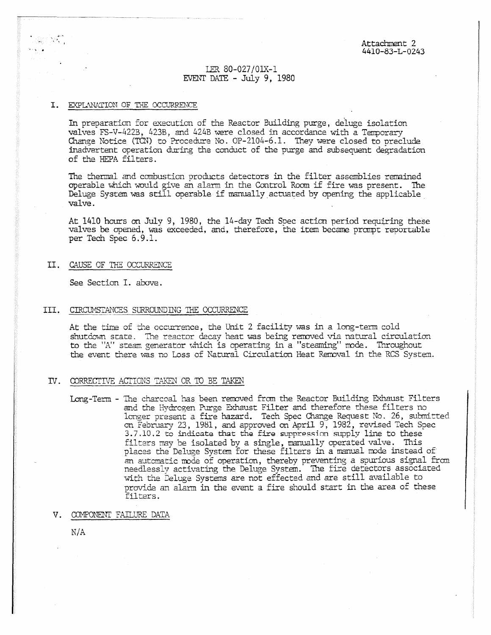# IER 80-027/01X-1 EVENT DATE - July 9, 1980

### I. EXPLANATION OF THE OCCURRENCE

In preparation for execution of the Reactor Building purge, deluge isolation valves FS-V-4223, 423B, and 424B were closed in accordance with a Temporary Change Notice (TEN) to Procedure No. OP-2104-6.1. They were closed to preclude inadvertent operation daring the conduct of the purge and subsequent degradation of the HEPA filters.

The thermal and combustion products detectors in the filter assemblies remained operable which would give an alarm in the Control Room if fire was present. The Deluge System was still operable if manually actuated by opening the applicable valve

At 1410 hours on July 9, 1980, the 14-day Tech Spec action period requiring these valves be opened, was exceeded, and, therefore, the item became prompt reportable per Tech Spec 6.9.1.

II. CAUSE OF THE OCCURRENCE

See Section I. above.

#### III. CIRCUMSTANCES SURROUNDLNG THE OCCURRENCE

At the time of the occurrence, the Unit 2 facility was in a long-term cold shutdown state. The rector decay heat was being removed via natural circulation to the "A" steam generator which is operating in a "steaming" mode. Throughout the event there was no Loss of Natural Circulation Heat Removal in the RCS System.

#### IV. CORRECTIVE ACTIONS TAKEN OR TO BE TAKEN

Long-Term - The charcoal has been removed from the Reactor Building Exhaust Filters and the Hydrogen Purge Exhaust Filter and therefore these filters no longer present a fire hazard. Tech Spec Change Request NO. 26, submitted on February 23, 1981, and approved on April 9, 1982, revised Tech Spec 3.7.10.2 to indicate that the fire guppressinn supply line to these filters may be isolated by a single, manually operated valve. This places the Deluge System for these filters in a manual node instead of an automatic node of operation, thereby preventing a spurious signal from needlessly activating the Deluge System. The fire detectors associated with the Deluge Systems are not effected and are still available to provide an alarm in the event a fire should start in the area of these filters.

#### V. COMPONENT FAILURE DATA

N/A